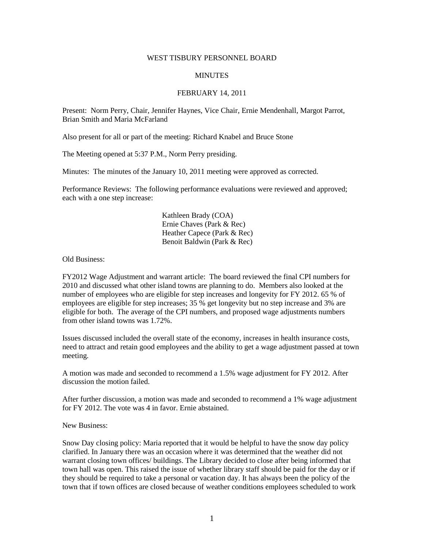## WEST TISBURY PERSONNEL BOARD

## **MINUTES**

## FEBRUARY 14, 2011

Present: Norm Perry, Chair, Jennifer Haynes, Vice Chair, Ernie Mendenhall, Margot Parrot, Brian Smith and Maria McFarland

Also present for all or part of the meeting: Richard Knabel and Bruce Stone

The Meeting opened at 5:37 P.M., Norm Perry presiding.

Minutes: The minutes of the January 10, 2011 meeting were approved as corrected.

Performance Reviews: The following performance evaluations were reviewed and approved; each with a one step increase:

> Kathleen Brady (COA) Ernie Chaves (Park & Rec) Heather Capece (Park & Rec) Benoit Baldwin (Park & Rec)

Old Business:

FY2012 Wage Adjustment and warrant article: The board reviewed the final CPI numbers for 2010 and discussed what other island towns are planning to do. Members also looked at the number of employees who are eligible for step increases and longevity for FY 2012. 65 % of employees are eligible for step increases; 35 % get longevity but no step increase and 3% are eligible for both. The average of the CPI numbers, and proposed wage adjustments numbers from other island towns was 1.72%.

Issues discussed included the overall state of the economy, increases in health insurance costs, need to attract and retain good employees and the ability to get a wage adjustment passed at town meeting.

A motion was made and seconded to recommend a 1.5% wage adjustment for FY 2012. After discussion the motion failed.

After further discussion, a motion was made and seconded to recommend a 1% wage adjustment for FY 2012. The vote was 4 in favor. Ernie abstained.

New Business:

Snow Day closing policy: Maria reported that it would be helpful to have the snow day policy clarified. In January there was an occasion where it was determined that the weather did not warrant closing town offices/ buildings. The Library decided to close after being informed that town hall was open. This raised the issue of whether library staff should be paid for the day or if they should be required to take a personal or vacation day. It has always been the policy of the town that if town offices are closed because of weather conditions employees scheduled to work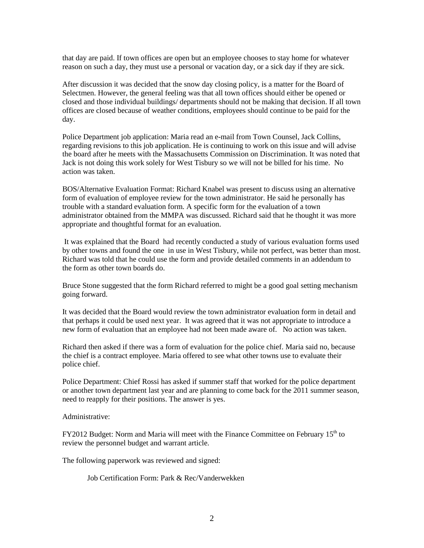that day are paid. If town offices are open but an employee chooses to stay home for whatever reason on such a day, they must use a personal or vacation day, or a sick day if they are sick.

After discussion it was decided that the snow day closing policy, is a matter for the Board of Selectmen. However, the general feeling was that all town offices should either be opened or closed and those individual buildings/ departments should not be making that decision. If all town offices are closed because of weather conditions, employees should continue to be paid for the day.

Police Department job application: Maria read an e-mail from Town Counsel, Jack Collins, regarding revisions to this job application. He is continuing to work on this issue and will advise the board after he meets with the Massachusetts Commission on Discrimination. It was noted that Jack is not doing this work solely for West Tisbury so we will not be billed for his time. No action was taken.

BOS/Alternative Evaluation Format: Richard Knabel was present to discuss using an alternative form of evaluation of employee review for the town administrator. He said he personally has trouble with a standard evaluation form. A specific form for the evaluation of a town administrator obtained from the MMPA was discussed. Richard said that he thought it was more appropriate and thoughtful format for an evaluation.

It was explained that the Board had recently conducted a study of various evaluation forms used by other towns and found the one in use in West Tisbury, while not perfect, was better than most. Richard was told that he could use the form and provide detailed comments in an addendum to the form as other town boards do.

Bruce Stone suggested that the form Richard referred to might be a good goal setting mechanism going forward.

It was decided that the Board would review the town administrator evaluation form in detail and that perhaps it could be used next year. It was agreed that it was not appropriate to introduce a new form of evaluation that an employee had not been made aware of. No action was taken.

Richard then asked if there was a form of evaluation for the police chief. Maria said no, because the chief is a contract employee. Maria offered to see what other towns use to evaluate their police chief.

Police Department: Chief Rossi has asked if summer staff that worked for the police department or another town department last year and are planning to come back for the 2011 summer season, need to reapply for their positions. The answer is yes.

Administrative:

 $FY2012$  Budget: Norm and Maria will meet with the Finance Committee on February  $15<sup>th</sup>$  to review the personnel budget and warrant article.

The following paperwork was reviewed and signed:

Job Certification Form: Park & Rec/Vanderwekken